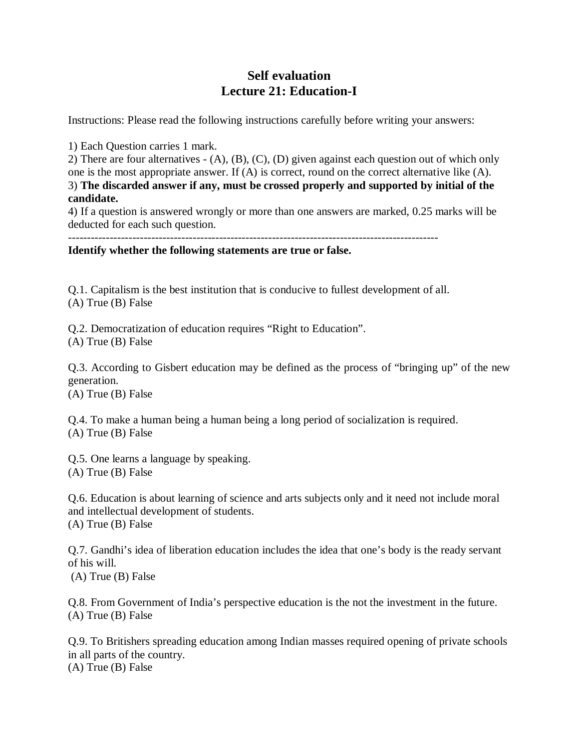## **Self evaluation Lecture 21: Education-I**

Instructions: Please read the following instructions carefully before writing your answers:

1) Each Question carries 1 mark.

2) There are four alternatives - (A), (B), (C), (D) given against each question out of which only one is the most appropriate answer. If (A) is correct, round on the correct alternative like (A). 3) **The discarded answer if any, must be crossed properly and supported by initial of the candidate.**

4) If a question is answered wrongly or more than one answers are marked, 0.25 marks will be deducted for each such question.

--------------------------------------------------------------------------------------------------

**Identify whether the following statements are true or false.** 

Q.1. Capitalism is the best institution that is conducive to fullest development of all. (A) True (B) False

Q.2. Democratization of education requires "Right to Education". (A) True (B) False

Q.3. According to Gisbert education may be defined as the process of "bringing up" of the new generation.

(A) True (B) False

Q.4. To make a human being a human being a long period of socialization is required. (A) True (B) False

Q.5. One learns a language by speaking. (A) True (B) False

Q.6. Education is about learning of science and arts subjects only and it need not include moral and intellectual development of students. (A) True (B) False

Q.7. Gandhi's idea of liberation education includes the idea that one's body is the ready servant of his will.

(A) True (B) False

Q.8. From Government of India's perspective education is the not the investment in the future. (A) True (B) False

Q.9. To Britishers spreading education among Indian masses required opening of private schools in all parts of the country. (A) True (B) False